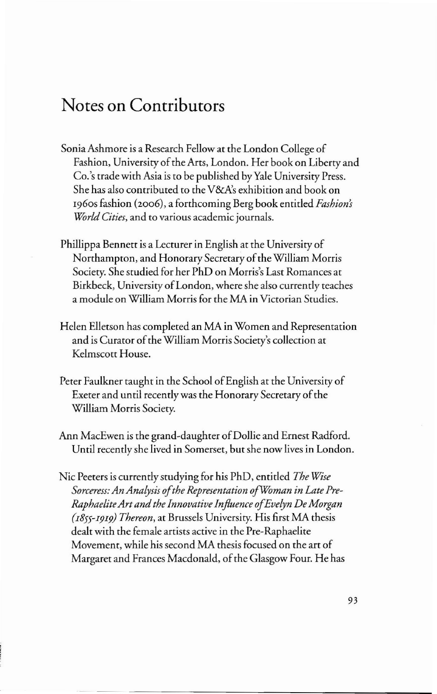## **Notes on Contributors**

- Sonia Ashmore is a Research Fellow at the London College of Fashion, University of the Arts, London. Her book on Liberty and Co.'s trade with Asia is to be published byYale University Press. She has also contributed to the V&A's exhibition and book on 1960s fashion (2006), a forthcoming Berg book entitled *Fashions World Cities,* and to various academic journals.
- Phillippa Bennett is a Lecturer in English at the University of Northampton, and Honorary Secretary of the William Morris Society. She studied for her PhD on Morris's Last Romances at Birkbeck, University of London, where she also currently teaches a module on William Morris for the MA in Victorian Studies.
- Helen Elletson has completed an MA in Women and Representation and is Curator of the William Morris Society's collection at Kelmscott House.
- Peter Faulkner taught in the School of English at the University of Exeter and until recently was the Honorary Secretary of the William Morris Society.
- Ann MacEwen is the grand-daughter of Dollie and Ernest Radford. Until recently she lived in Somerset, but she now lives in London.
- Nic Peeters is currently studying for his PhD, entitled *The Wise Sorceress: AnAnalysis ofthe Representation ofWoman in LatePre-RaphaeliteArtandthe Innovative Influence ofEvelyn De Morgan (I855-I9I9) Thereon,* at Brussels University. His first MA thesis dealt with the female artists active in the Pre-Raphaelite Movement, while his second MA thesis focused on the art of Margaret and Frances Macdonald, of the Glasgow Four. He has